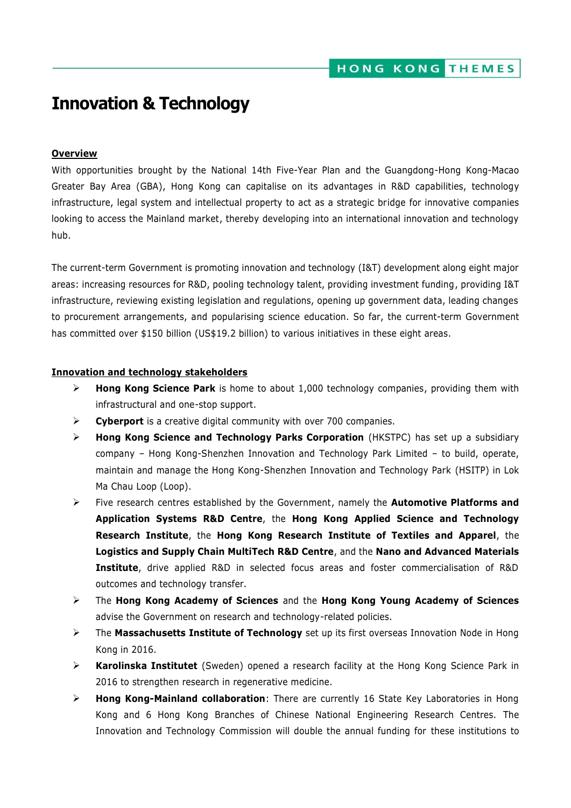# **Innovation & Technology**

#### **Overview**

With opportunities brought by the National 14th Five-Year Plan and the Guangdong-Hong Kong-Macao Greater Bay Area (GBA), Hong Kong can capitalise on its advantages in R&D capabilities, technology infrastructure, legal system and intellectual property to act as a strategic bridge for innovative companies looking to access the Mainland market, thereby developing into an international innovation and technology hub.

The current-term Government is promoting innovation and technology (I&T) development along eight major areas: increasing resources for R&D, pooling technology talent, providing investment funding, providing I&T infrastructure, reviewing existing legislation and regulations, opening up government data, leading changes to procurement arrangements, and popularising science education. So far, the current-term Government has committed over \$150 billion (US\$19.2 billion) to various initiatives in these eight areas.

#### **Innovation and technology stakeholders**

- **Hong Kong Science Park** is home to about 1,000 technology companies, providing them with infrastructural and one-stop support.
- **Cyberport** is a creative digital community with over 700 companies.
- **Hong Kong Science and Technology Parks Corporation** (HKSTPC) has set up a subsidiary company – Hong Kong-Shenzhen Innovation and Technology Park Limited – to build, operate, maintain and manage the Hong Kong-Shenzhen Innovation and Technology Park (HSITP) in Lok Ma Chau Loop (Loop).
- Five research centres established by the Government, namely the **Automotive Platforms and Application Systems R&D Centre**, the **Hong Kong Applied Science and Technology Research Institute**, the **Hong Kong Research Institute of Textiles and Apparel**, the **Logistics and Supply Chain MultiTech R&D Centre**, and the **Nano and Advanced Materials Institute**, drive applied R&D in selected focus areas and foster commercialisation of R&D outcomes and technology transfer.
- The **Hong Kong Academy of Sciences** and the **Hong Kong Young Academy of Sciences**  advise the Government on research and technology-related policies.
- The **Massachusetts Institute of Technology** set up its first overseas Innovation Node in Hong Kong in 2016.
- **Karolinska Institutet** (Sweden) opened a research facility at the Hong Kong Science Park in 2016 to strengthen research in regenerative medicine.
- **Hong Kong-Mainland collaboration**: There are currently 16 State Key Laboratories in Hong Kong and 6 Hong Kong Branches of Chinese National Engineering Research Centres. The Innovation and Technology Commission will double the annual funding for these institutions to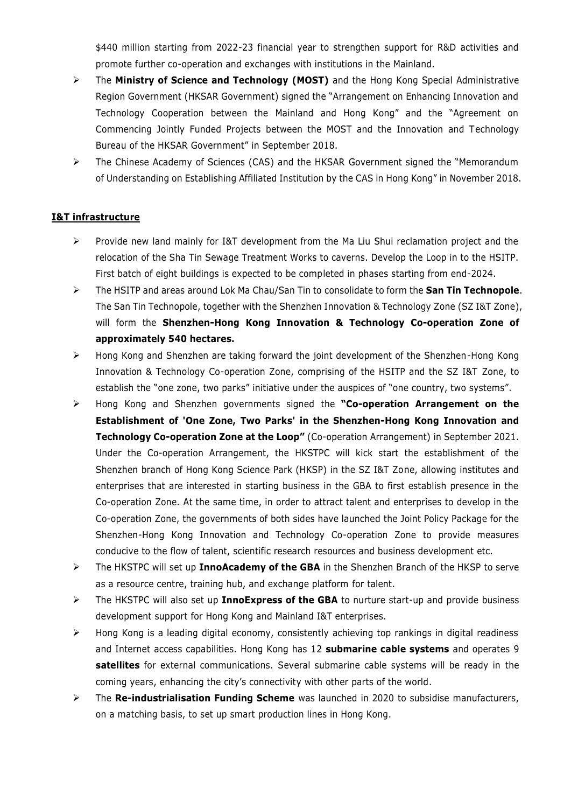\$440 million starting from 2022-23 financial year to strengthen support for R&D activities and promote further co-operation and exchanges with institutions in the Mainland.

- The **Ministry of Science and Technology (MOST)** and the Hong Kong Special Administrative Region Government (HKSAR Government) signed the "Arrangement on Enhancing Innovation and Technology Cooperation between the Mainland and Hong Kong" and the "Agreement on Commencing Jointly Funded Projects between the MOST and the Innovation and Technology Bureau of the HKSAR Government" in September 2018.
- The Chinese Academy of Sciences (CAS) and the HKSAR Government signed the "Memorandum of Understanding on Establishing Affiliated Institution by the CAS in Hong Kong" in November 2018.

# **I&T infrastructure**

- Provide new land mainly for I&T development from the Ma Liu Shui reclamation project and the relocation of the Sha Tin Sewage Treatment Works to caverns. Develop the Loop in to the HSITP. First batch of eight buildings is expected to be completed in phases starting from end-2024.
- The HSITP and areas around Lok Ma Chau/San Tin to consolidate to form the **San Tin Technopole**. The San Tin Technopole, together with the Shenzhen Innovation & Technology Zone (SZ I&T Zone), will form the **Shenzhen-Hong Kong Innovation & Technology Co-operation Zone of approximately 540 hectares.**
- Hong Kong and Shenzhen are taking forward the joint development of the Shenzhen-Hong Kong Innovation & Technology Co-operation Zone, comprising of the HSITP and the SZ I&T Zone, to establish the "one zone, two parks" initiative under the auspices of "one country, two systems".
- Hong Kong and Shenzhen governments signed the **"Co-operation Arrangement on the Establishment of 'One Zone, Two Parks' in the Shenzhen-Hong Kong Innovation and Technology Co-operation Zone at the Loop"** (Co-operation Arrangement) in September 2021. Under the Co-operation Arrangement, the HKSTPC will kick start the establishment of the Shenzhen branch of Hong Kong Science Park (HKSP) in the SZ I&T Zone, allowing institutes and enterprises that are interested in starting business in the GBA to first establish presence in the Co-operation Zone. At the same time, in order to attract talent and enterprises to develop in the Co-operation Zone, the governments of both sides have launched the Joint Policy Package for the Shenzhen-Hong Kong Innovation and Technology Co-operation Zone to provide measures conducive to the flow of talent, scientific research resources and business development etc.
- The HKSTPC will set up **InnoAcademy of the GBA** in the Shenzhen Branch of the HKSP to serve as a resource centre, training hub, and exchange platform for talent.
- The HKSTPC will also set up **InnoExpress of the GBA** to nurture start-up and provide business development support for Hong Kong and Mainland I&T enterprises.
- $\triangleright$  Hong Kong is a leading digital economy, consistently achieving top rankings in digital readiness and Internet access capabilities. Hong Kong has 12 **submarine cable systems** and operates 9 **satellites** for external communications. Several submarine cable systems will be ready in the coming years, enhancing the city's connectivity with other parts of the world.
- The **Re-industrialisation Funding Scheme** was launched in 2020 to subsidise manufacturers, on a matching basis, to set up smart production lines in Hong Kong.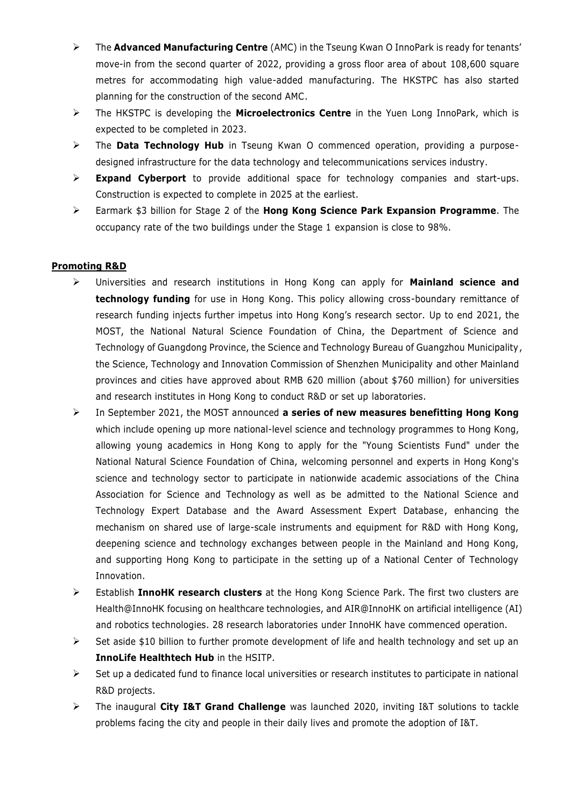- The **Advanced Manufacturing Centre** (AMC) in the Tseung Kwan O InnoPark is ready for tenants' move-in from the second quarter of 2022, providing a gross floor area of about 108,600 square metres for accommodating high value-added manufacturing. The HKSTPC has also started planning for the construction of the second AMC.
- The HKSTPC is developing the **Microelectronics Centre** in the Yuen Long InnoPark, which is expected to be completed in 2023.
- The **Data Technology Hub** in Tseung Kwan O commenced operation, providing a purposedesigned infrastructure for the data technology and telecommunications services industry.
- **Expand Cyberport** to provide additional space for technology companies and start-ups. Construction is expected to complete in 2025 at the earliest.
- Earmark \$3 billion for Stage 2 of the **Hong Kong Science Park Expansion Programme**. The occupancy rate of the two buildings under the Stage 1 expansion is close to 98%.

# **Promoting R&D**

- Universities and research institutions in Hong Kong can apply for **Mainland science and technology funding** for use in Hong Kong. This policy allowing cross-boundary remittance of research funding injects further impetus into Hong Kong's research sector. Up to end 2021, the MOST, the National Natural Science Foundation of China, the Department of Science and Technology of Guangdong Province, the Science and Technology Bureau of Guangzhou Municipality, the Science, Technology and Innovation Commission of Shenzhen Municipality and other Mainland provinces and cities have approved about RMB 620 million (about \$760 million) for universities and research institutes in Hong Kong to conduct R&D or set up laboratories.
- In September 2021, the MOST announced **a series of new measures benefitting Hong Kong** which include opening up more national-level science and technology programmes to Hong Kong, allowing young academics in Hong Kong to apply for the "Young Scientists Fund" under the National Natural Science Foundation of China, welcoming personnel and experts in Hong Kong's science and technology sector to participate in nationwide academic associations of the China Association for Science and Technology as well as be admitted to the National Science and Technology Expert Database and the Award Assessment Expert Database, enhancing the mechanism on shared use of large-scale instruments and equipment for R&D with Hong Kong, deepening science and technology exchanges between people in the Mainland and Hong Kong, and supporting Hong Kong to participate in the setting up of a National Center of Technology Innovation.
- Establish **InnoHK research clusters** at the Hong Kong Science Park. The first two clusters are Health@InnoHK focusing on healthcare technologies, and AIR@InnoHK on artificial intelligence (AI) and robotics technologies. 28 research laboratories under InnoHK have commenced operation.
- $\triangleright$  Set aside \$10 billion to further promote development of life and health technology and set up an **InnoLife Healthtech Hub** in the HSITP.
- $\triangleright$  Set up a dedicated fund to finance local universities or research institutes to participate in national R&D projects.
- The inaugural **City I&T Grand Challenge** was launched 2020, inviting I&T solutions to tackle problems facing the city and people in their daily lives and promote the adoption of I&T.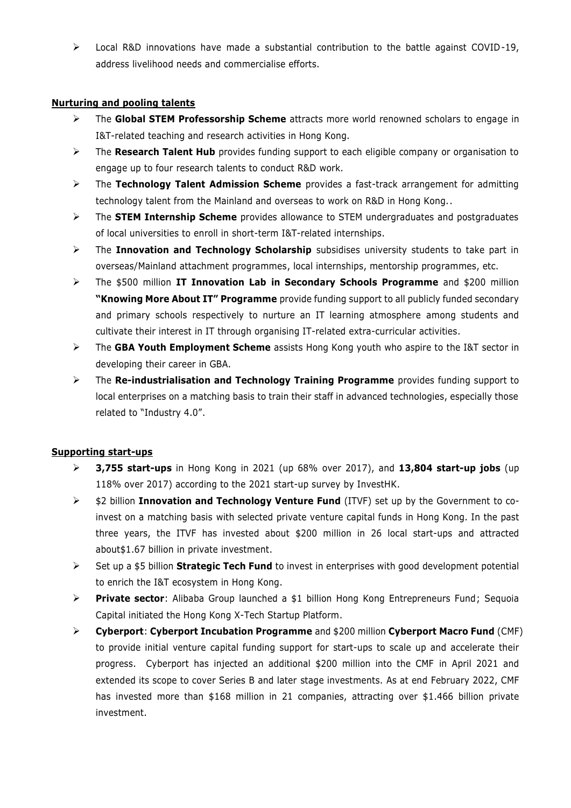$\triangleright$  Local R&D innovations have made a substantial contribution to the battle against COVID-19, address livelihood needs and commercialise efforts.

# **Nurturing and pooling talents**

- The **Global STEM Professorship Scheme** attracts more world renowned scholars to engage in I&T-related teaching and research activities in Hong Kong.
- The **Research Talent Hub** provides funding support to each eligible company or organisation to engage up to four research talents to conduct R&D work.
- The **Technology Talent Admission Scheme** provides a fast-track arrangement for admitting technology talent from the Mainland and overseas to work on R&D in Hong Kong..
- The **STEM Internship Scheme** provides allowance to STEM undergraduates and postgraduates of local universities to enroll in short-term I&T-related internships.
- The **Innovation and Technology Scholarship** subsidises university students to take part in overseas/Mainland attachment programmes, local internships, mentorship programmes, etc.
- The \$500 million **IT Innovation Lab in Secondary Schools Programme** and \$200 million **"Knowing More About IT" Programme** provide funding support to all publicly funded secondary and primary schools respectively to nurture an IT learning atmosphere among students and cultivate their interest in IT through organising IT-related extra-curricular activities.
- The **GBA Youth Employment Scheme** assists Hong Kong youth who aspire to the I&T sector in developing their career in GBA.
- The **Re-industrialisation and Technology Training Programme** provides funding support to local enterprises on a matching basis to train their staff in advanced technologies, especially those related to "Industry 4.0".

# **Supporting start-ups**

- **3,755 start-ups** in Hong Kong in 2021 (up 68% over 2017), and **13,804 start-up jobs** (up 118% over 2017) according to the 2021 start-up survey by InvestHK.
- \$2 billion **Innovation and Technology Venture Fund** (ITVF) set up by the Government to coinvest on a matching basis with selected private venture capital funds in Hong Kong. In the past three years, the ITVF has invested about \$200 million in 26 local start-ups and attracted about\$1.67 billion in private investment.
- Set up a \$5 billion **Strategic Tech Fund** to invest in enterprises with good development potential to enrich the I&T ecosystem in Hong Kong.
- **Private sector**: Alibaba Group launched a \$1 billion Hong Kong Entrepreneurs Fund; Sequoia Capital initiated the Hong Kong X-Tech Startup Platform.
- **Cyberport**: **Cyberport Incubation Programme** and \$200 million **Cyberport Macro Fund** (CMF) to provide initial venture capital funding support for start-ups to scale up and accelerate their progress. Cyberport has injected an additional \$200 million into the CMF in April 2021 and extended its scope to cover Series B and later stage investments. As at end February 2022, CMF has invested more than \$168 million in 21 companies, attracting over \$1.466 billion private investment.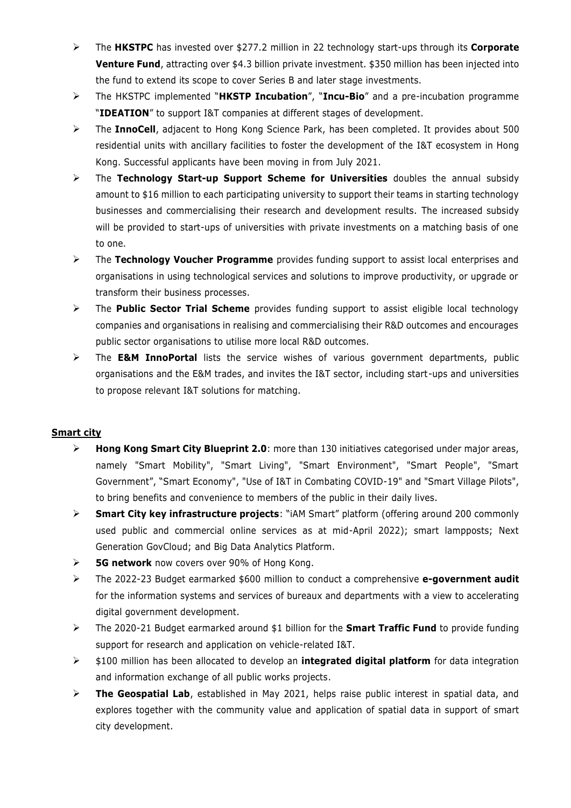- The **HKSTPC** has invested over \$277.2 million in 22 technology start-ups through its **Corporate Venture Fund**, attracting over \$4.3 billion private investment. \$350 million has been injected into the fund to extend its scope to cover Series B and later stage investments.
- The HKSTPC implemented "**HKSTP Incubation**", "**Incu-Bio**" and a pre-incubation programme "**IDEATION**" to support I&T companies at different stages of development.
- The **InnoCell**, adjacent to Hong Kong Science Park, has been completed. It provides about 500 residential units with ancillary facilities to foster the development of the I&T ecosystem in Hong Kong. Successful applicants have been moving in from July 2021.
- The **Technology Start-up Support Scheme for Universities** doubles the annual subsidy amount to \$16 million to each participating university to support their teams in starting technology businesses and commercialising their research and development results. The increased subsidy will be provided to start-ups of universities with private investments on a matching basis of one to one.
- The **Technology Voucher Programme** provides funding support to assist local enterprises and organisations in using technological services and solutions to improve productivity, or upgrade or transform their business processes.
- The **Public Sector Trial Scheme** provides funding support to assist eligible local technology companies and organisations in realising and commercialising their R&D outcomes and encourages public sector organisations to utilise more local R&D outcomes.
- The **E&M InnoPortal** lists the service wishes of various government departments, public organisations and the E&M trades, and invites the I&T sector, including start-ups and universities to propose relevant I&T solutions for matching.

# **Smart city**

- **Hong Kong Smart City Blueprint 2.0**: more than 130 initiatives categorised under major areas, namely "Smart Mobility", "Smart Living", "Smart Environment", "Smart People", "Smart Government", "Smart Economy", "Use of I&T in Combating COVID-19" and "Smart Village Pilots", to bring benefits and convenience to members of the public in their daily lives.
- **Smart City key infrastructure projects**: "iAM Smart" platform (offering around 200 commonly used public and commercial online services as at mid-April 2022); smart lampposts; Next Generation GovCloud; and Big Data Analytics Platform.
- **5G network** now covers over 90% of Hong Kong.
- The 2022-23 Budget earmarked \$600 million to conduct a comprehensive **e-government audit** for the information systems and services of bureaux and departments with a view to accelerating digital government development.
- The 2020-21 Budget earmarked around \$1 billion for the **Smart Traffic Fund** to provide funding support for research and application on vehicle-related I&T.
- \$100 million has been allocated to develop an **integrated digital platform** for data integration and information exchange of all public works projects.
- **The Geospatial Lab**, established in May 2021, helps raise public interest in spatial data, and explores together with the community value and application of spatial data in support of smart city development.